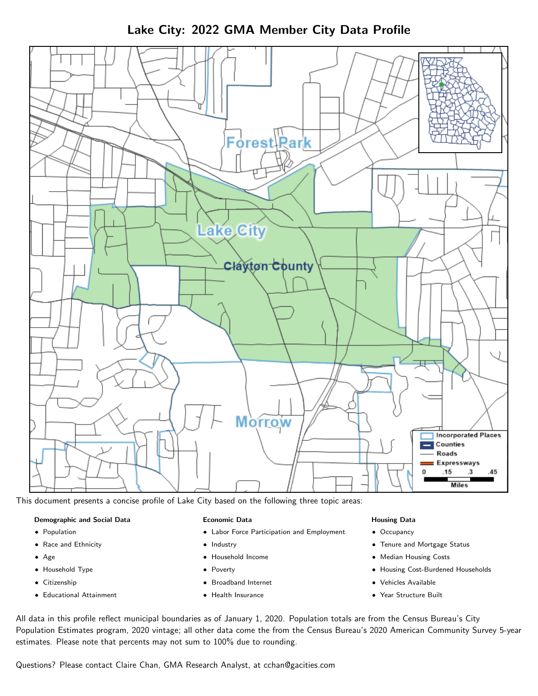Lake City: 2022 GMA Member City Data Profile



This document presents a concise profile of Lake City based on the following three topic areas:

#### Demographic and Social Data

- **•** Population
- Race and Ethnicity
- Age
- Household Type
- **Citizenship**
- Educational Attainment

#### Economic Data

- Labor Force Participation and Employment
- Industry
- Household Income
- Poverty
- Broadband Internet
- Health Insurance

#### Housing Data

- Occupancy
- Tenure and Mortgage Status
- Median Housing Costs
- Housing Cost-Burdened Households
- Vehicles Available
- Year Structure Built

All data in this profile reflect municipal boundaries as of January 1, 2020. Population totals are from the Census Bureau's City Population Estimates program, 2020 vintage; all other data come the from the Census Bureau's 2020 American Community Survey 5-year estimates. Please note that percents may not sum to 100% due to rounding.

Questions? Please contact Claire Chan, GMA Research Analyst, at [cchan@gacities.com.](mailto:cchan@gacities.com)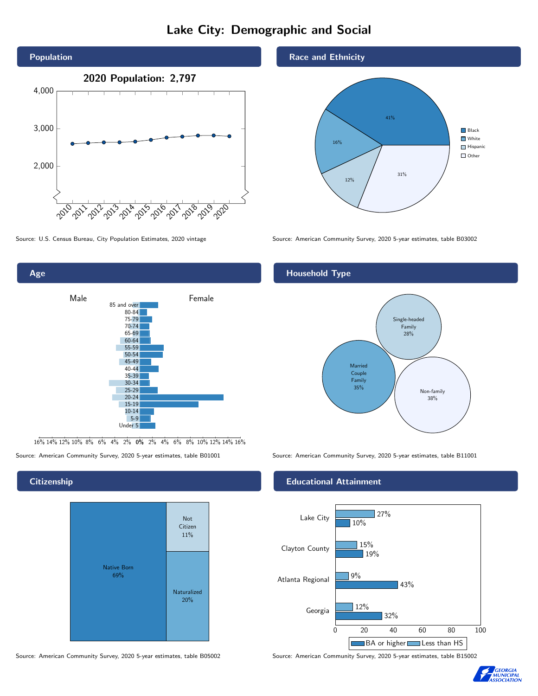## Lake City: Demographic and Social





16% 14% 12% 10% 8% 6% 4% 2% 0% 2% 4% 6% 8% 10% 12% 14% 16%

Source: American Community Survey, 2020 5-year estimates, table B01001 Source: American Community Survey, 2020 5-year estimates, table B11001

## **Citizenship**



Source: American Community Survey, 2020 5-year estimates, table B05002 Source: American Community Survey, 2020 5-year estimates, table B15002

## Race and Ethnicity



Source: U.S. Census Bureau, City Population Estimates, 2020 vintage Source: American Community Survey, 2020 5-year estimates, table B03002

## Household Type



## Educational Attainment



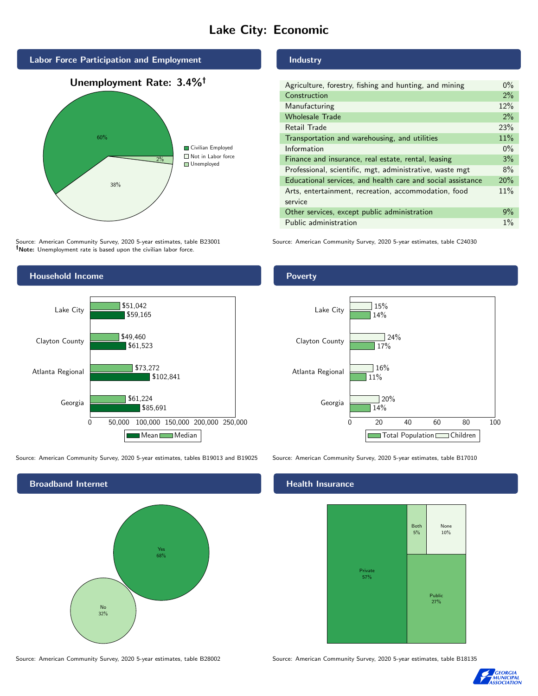## Lake City: Economic



Source: American Community Survey, 2020 5-year estimates, table B23001 Note: Unemployment rate is based upon the civilian labor force.



Source: American Community Survey, 2020 5-year estimates, tables B19013 and B19025 Source: American Community Survey, 2020 5-year estimates, table B17010



## Industry

| Agriculture, forestry, fishing and hunting, and mining      | $0\%$ |
|-------------------------------------------------------------|-------|
| Construction                                                | $2\%$ |
| Manufacturing                                               | 12%   |
| <b>Wholesale Trade</b>                                      | $2\%$ |
| Retail Trade                                                | 23%   |
| Transportation and warehousing, and utilities               | 11%   |
| Information                                                 | $0\%$ |
| Finance and insurance, real estate, rental, leasing         | 3%    |
| Professional, scientific, mgt, administrative, waste mgt    | 8%    |
| Educational services, and health care and social assistance | 20%   |
| Arts, entertainment, recreation, accommodation, food        | 11%   |
| service                                                     |       |
| Other services, except public administration                | 9%    |
| Public administration                                       | $1\%$ |

Source: American Community Survey, 2020 5-year estimates, table C24030



### Health Insurance



Source: American Community Survey, 2020 5-year estimates, table B28002 Source: American Community Survey, 2020 5-year estimates, table B18135